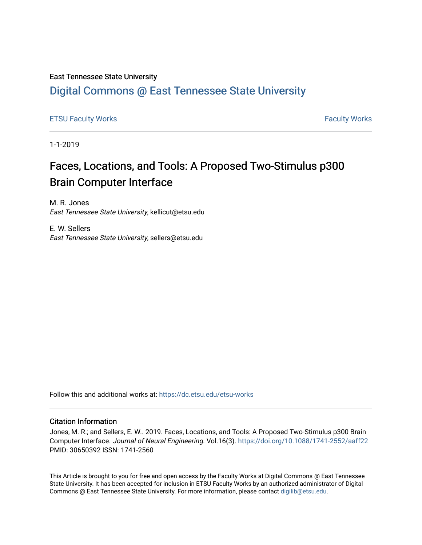# East Tennessee State University

# [Digital Commons @ East Tennessee State University](https://dc.etsu.edu/)

[ETSU Faculty Works](https://dc.etsu.edu/etsu-works) **Faculty Works** [Faculty Works](https://dc.etsu.edu/faculty-works) **Faculty Works** 

1-1-2019

# Faces, Locations, and Tools: A Proposed Two-Stimulus p300 Brain Computer Interface

M. R. Jones East Tennessee State University, kellicut@etsu.edu

E. W. Sellers East Tennessee State University, sellers@etsu.edu

Follow this and additional works at: [https://dc.etsu.edu/etsu-works](https://dc.etsu.edu/etsu-works?utm_source=dc.etsu.edu%2Fetsu-works%2F10044&utm_medium=PDF&utm_campaign=PDFCoverPages) 

## Citation Information

Jones, M. R.; and Sellers, E. W.. 2019. Faces, Locations, and Tools: A Proposed Two-Stimulus p300 Brain Computer Interface. Journal of Neural Engineering. Vol.16(3). <https://doi.org/10.1088/1741-2552/aaff22> PMID: 30650392 ISSN: 1741-2560

This Article is brought to you for free and open access by the Faculty Works at Digital Commons @ East Tennessee State University. It has been accepted for inclusion in ETSU Faculty Works by an authorized administrator of Digital Commons @ East Tennessee State University. For more information, please contact [digilib@etsu.edu.](mailto:digilib@etsu.edu)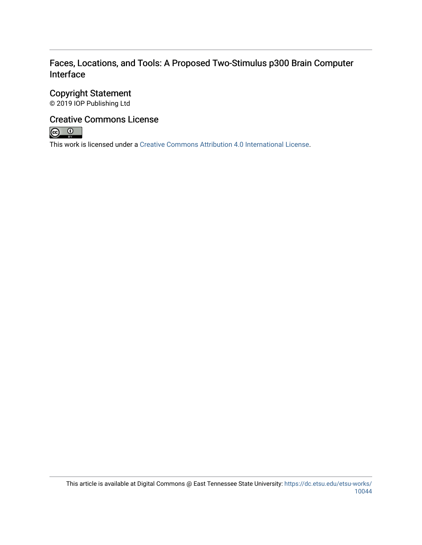# Faces, Locations, and Tools: A Proposed Two-Stimulus p300 Brain Computer Interface

# Copyright Statement

© 2019 IOP Publishing Ltd

# Creative Commons License



This work is licensed under a [Creative Commons Attribution 4.0 International License.](https://creativecommons.org/licenses/by/4.0/)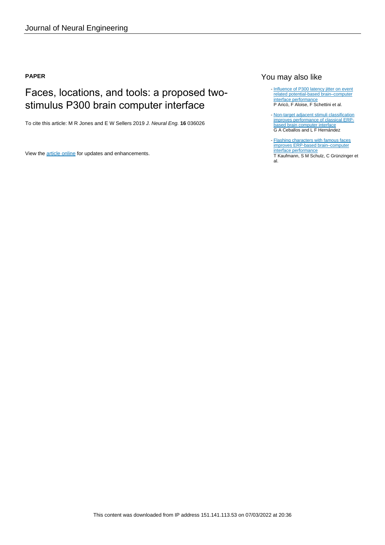## **PAPER**

# Faces, locations, and tools: a proposed twostimulus P300 brain computer interface

To cite this article: M R Jones and E W Sellers 2019 J. Neural Eng. **16** 036026

View the [article online](https://doi.org/10.1088/1741-2552/aaff22) for updates and enhancements.

# You may also like

- [Influence of P300 latency jitter on event](/article/10.1088/1741-2560/11/3/035008) [related potential-based brain–computer](/article/10.1088/1741-2560/11/3/035008) [interface performance](/article/10.1088/1741-2560/11/3/035008) P Aricò, F Aloise, F Schettini et al.
- [Non-target adjacent stimuli classification](/article/10.1088/1741-2560/12/2/026009) [improves performance of classical ERP](/article/10.1088/1741-2560/12/2/026009)[based brain computer interface](/article/10.1088/1741-2560/12/2/026009) G A Ceballos and L F Hernández -
- [Flashing characters with famous faces](/article/10.1088/1741-2560/8/5/056016) [improves ERP-based brain–computer](/article/10.1088/1741-2560/8/5/056016) [interface performance](/article/10.1088/1741-2560/8/5/056016) T Kaufmann, S M Schulz, C Grünzinger et al.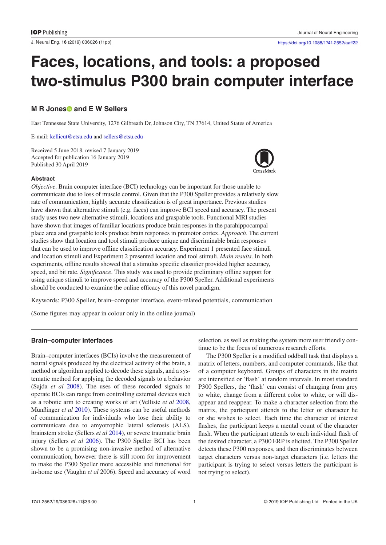J. Neural Eng. **16** (2019) 036026 ([11p](#page-13-3)p) <https://doi.org/10.1088/1741-2552/aaff22>

# **Faces, locations, and tools: a proposed two-stimulus P300 brain computer interface**

# **M R Jones<sup>®</sup> and E W Sellers**

East Tennessee State University, 1276 Gilbreath Dr, Johnson City, TN 37614, United States of America

E-mail: [kellicut@etsu.edu](mailto:kellicut@etsu.edu) and [sellers@etsu.edu](mailto:sellers@etsu.edu)

Received 5 June 2018, revised 7 January 2019 Accepted for publication 16 January 2019 Published 30 April 2019



#### **Abstract**

*Objective*. Brain computer interface (BCI) technology can be important for those unable to communicate due to loss of muscle control. Given that the P300 Speller provides a relatively slow rate of communication, highly accurate classification is of great importance. Previous studies have shown that alternative stimuli (e.g. faces) can improve BCI speed and accuracy. The present study uses two new alternative stimuli, locations and graspable tools. Functional MRI studies have shown that images of familiar locations produce brain responses in the parahippocampal place area and graspable tools produce brain responses in premotor cortex. *Approach*. The current studies show that location and tool stimuli produce unique and discriminable brain responses that can be used to improve offline classification accuracy. Experiment 1 presented face stimuli and location stimuli and Experiment 2 presented location and tool stimuli. *Main results*. In both experiments, offline results showed that a stimulus specific classifier provided higher accuracy, speed, and bit rate. *Significance*. This study was used to provide preliminary offline support for using unique stimuli to improve speed and accuracy of the P300 Speller. Additional experiments should be conducted to examine the online efficacy of this novel paradigm.

Keywords: P300 Speller, brain–computer interface, event-related potentials, communication

(Some figures may appear in colour only in the online journal)

#### **Brain–computer interfaces**

Brain–computer interfaces (BCIs) involve the measurement of neural signals produced by the electrical activity of the brain, a method or algorithm applied to decode these signals, and a systematic method for applying the decoded signals to a behavior (Sajda *et al* [2008\)](#page-12-0). The uses of these recorded signals to operate BCIs can range from controlling external devices such as a robotic arm to creating works of art (Velliste *et al* [2008,](#page-13-0) Münßinger *et al* [2010](#page-12-1)). These systems can be useful methods of communication for individuals who lose their ability to communicate due to amyotrophic lateral sclerosis (ALS), brainstem stroke (Sellers *et al* [2014\)](#page-13-1), or severe traumatic brain injury (Sellers *et al* [2006](#page-13-2)). The P300 Speller BCI has been shown to be a promising non-invasive method of alternative communication, however there is still room for improvement to make the P300 Speller more accessible and functional for in-home use (Vaughn *et al* 2006). Speed and accuracy of word selection, as well as making the system more user friendly continue to be the focus of numerous research efforts.

The P300 Speller is a modified oddball task that displays a matrix of letters, numbers, and computer commands, like that of a computer keyboard. Groups of characters in the matrix are intensified or 'flash' at random intervals. In most standard P300 Spellers, the 'flash' can consist of changing from grey to white, change from a different color to white, or will disappear and reappear. To make a character selection from the matrix, the participant attends to the letter or character he or she wishes to select. Each time the character of interest flashes, the participant keeps a mental count of the character flash. When the participant attends to each individual flash of the desired character, a P300 ERP is elicited. The P300 Speller detects these P300 responses, and then discriminates between target characters versus non-target characters (i.e. letters the participant is trying to select versus letters the participant is not trying to select).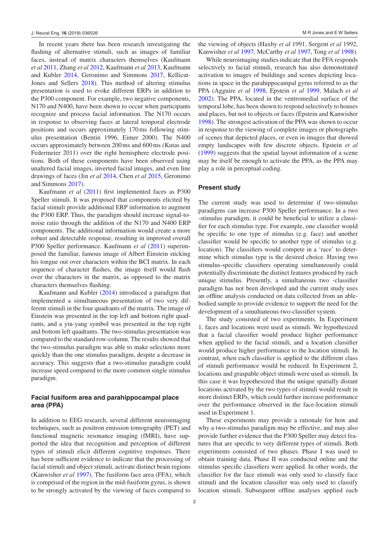In recent years there has been research investigating the flashing of alternative stimuli, such as images of familiar faces, instead of matrix characters themselves (Kaufmann *et al* [2011](#page-12-2), Zhang *et al* [2012,](#page-13-4) Kaufmann *et al* [2013](#page-12-3), Kaufmann and Kubler [2014,](#page-12-4) Geronimo and Simmons [2017,](#page-12-5) Kellicut-Jones and Sellers [2018](#page-12-6)). This method of altering stimulus presentation is used to evoke different ERPs in addition to the P300 component. For example, two negative components, N170 and N400, have been shown to occur when participants recognize and process facial information. The N170 occurs in response to observing faces at lateral temporal electrode positions and occurs approximately 170ms following stimulus presentation (Bentin 1996, Eimer 2000). The N400 occurs approximately between 200ms and 600ms (Kutas and Federmeier 2011) over the right hemisphere electrode positions. Both of these components have been observed using unaltered facial images, inverted facial images, and even line drawings of faces (Jin *et al* [2014](#page-12-7), Chen *et al* [2015](#page-12-8), Geronimo and Simmons [2017](#page-12-5)).

Kaufmann *et al* ([2011\)](#page-12-2) first implemented faces as P300 Speller stimuli. It was proposed that components elicited by facial stimuli provide additional ERP information to augment the P300 ERP. Thus, the paradigm should increase signal-tonoise ratio through the addition of the N170 and N400 ERP components. The additional information would create a more robust and detectable response, resulting in improved overall P300 Speller performance. Kaufmann *et al* ([2011\)](#page-12-2) superimposed the familiar, famous image of Albert Einstein sticking his tongue out over characters within the BCI matrix. In each sequence of character flashes, the image itself would flash over the characters in the matrix, as opposed to the matrix characters themselves flashing.

Kaufmann and Kubler [\(2014](#page-12-4)) introduced a paradigm that implemented a simultaneous presentation of two very different stimuli in the four quadrants of the matrix. The image of Einstein was presented in the top left and bottom right quadrants, and a yin-yang symbol was presented in the top right and bottom left quadrants. The two-stimulus presentation was compared to the standard row-column. The results showed that the two-stimulus paradigm was able to make selections more quickly than the one stimulus paradigm, despite a decrease in accuracy. This suggests that a two-stimulus paradigm could increase speed compared to the more common single stimulus paradigm.

## **Facial fusiform area and parahippocampal place area (PPA)**

In addition to EEG research, several different neuroimaging techniques, such as positron emission tomography (PET) and functional magnetic resonance imaging (fMRI), have supported the idea that recognition and perception of different types of stimuli elicit different cognitive responses. There has been sufficient evidence to indicate that the processing of facial stimuli and object stimuli, activate distinct brain regions (Kanwisher *et al* [1997\)](#page-12-9). The fusiform face area (FFA), which is comprised of the region in the mid-fusiform gyrus, is shown to be strongly activated by the viewing of faces compared to the viewing of objects (Haxby *et al* 1991, Sergent *et al* 1992, Kanwisher *et al* [1997](#page-12-9), McCarthy *et al* [1997](#page-12-10), Tong *et al* [1998](#page-13-5)).

While neuroimaging studies indicate that the FFA responds selectively to facial stimuli, research has also demonstrated activation to images of buildings and scenes depicting locations in space in the parahippocampal gyrus referred to as the PPA (Agguire *et al* [1998,](#page-12-11) Epstein *et al* [1999,](#page-12-12) Malach *et al* [2002](#page-12-13)). The PPA, located in the ventromedial surface of the temporal lobe, has been shown to respond selectively to houses and places, but not to objects or faces (Epstein and Kanwisher [1998](#page-12-14)). The strongest activation of the PPA was shown to occur in response to the viewing of complete images or photographs of scenes that depicted places, or even in images that showed empty landscapes with few discrete objects. Epstein *et al* [\(1999](#page-12-12)) suggests that the spatial layout information of a scene may be itself be enough to activate the PPA, as the PPA may play a role in perceptual coding.

#### **Present study**

The current study was used to determine if two-stimulus paradigms can increase P300 Speller performance. In a two -stimulus paradigm, it could be beneficial to utilize a classifier for each stimulus type. For example, one classifier would be specific to one type of stimulus (e.g. face) and another classifier would be specific to another type of stimulus (e.g. location). The classifiers would compete in a 'race' to determine which stimulus type is the desired choice. Having two stimulus-specific classifiers operating simultaneously could potentially discriminate the distinct features produced by each unique stimulus. Presently, a simultaneous two -classifier paradigm has not been developed and the current study uses an offline analysis conducted on data collected from an ablebodied sample to provide evidence to support the need for the development of a simultaneous two-classifier system.

The study consisted of two experiments. In Experiment 1, faces and locations were used as stimuli. We hypothesized that a facial classifier would produce higher performance when applied to the facial stimuli, and a location classifier would produce higher performance to the location stimuli. In contrast, when each classifier is applied to the different class of stimuli performance would be reduced. In Experiment 2, locations and graspable object stimuli were used as stimuli. In this case it was hypothesized that the unique spatially distant locations activated by the two types of stimuli would result in more distinct ERPs, which could further increase performance over the performance observed in the face-location stimuli used in Experiment 1.

These experiments may provide a rationale for how and why a two-stimulus paradigm may be effective, and may also provide further evidence that the P300 Speller may detect features that are specific to very different types of stimuli. Both experiments consisted of two phases. Phase I was used to obtain training data. Phase II was conducted online and the stimulus specific classifiers were applied. In other words, the classifier for the face stimuli was only used to classify face stimuli and the location classifier was only used to classify location stimuli. Subsequent offline analyses applied each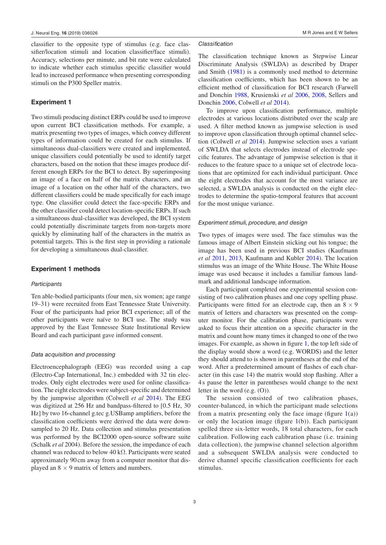classifier to the opposite type of stimulus (e.g. face classifier/location stimuli and location classifier/face stimuli). Accuracy, selections per minute, and bit rate were calculated to indicate whether each stimulus specific classifier would lead to increased performance when presenting corresponding stimuli on the P300 Speller matrix.

## **Experiment 1**

Two stimuli producing distinct ERPs could be used to improve upon current BCI classification methods. For example, a matrix presenting two types of images, which convey different types of information could be created for each stimulus. If simultaneous dual-classifiers were created and implemented, unique classifiers could potentially be used to identify target characters, based on the notion that these images produce different enough ERPs for the BCI to detect. By superimposing an image of a face on half of the matrix characters, and an image of a location on the other half of the characters, two different classifiers could be made specifically for each image type. One classifier could detect the face-specific ERPs and the other classifier could detect location-specific ERPs. If such a simultaneous dual-classifier was developed, the BCI system could potentially discriminate targets from non-targets more quickly by eliminating half of the characters in the matrix as potential targets. This is the first step in providing a rationale for developing a simultaneous dual-classifier.

#### **Experiment 1 methods**

#### *Participants*

Ten able-bodied participants (four men, six women; age range 19–31) were recruited from East Tennessee State University. Four of the participants had prior BCI experience; all of the other participants were naïve to BCI use. The study was approved by the East Tennessee State Institutional Review Board and each participant gave informed consent.

#### *Data acquisition and processing*

Electroencephalograph (EEG) was recorded using a cap (Electro-Cap International, Inc.) embedded with 32 tin electrodes. Only eight electrodes were used for online classification. The eight electrodes were subject-specific and determined by the jumpwise algorithm (Colwell *et al* [2014](#page-12-15)). The EEG was digitized at 256 Hz and bandpass-filtered to [0.5 Hz, 30 Hz] by two 16-channel g.tec g.USBamp amplifiers, before the classification coefficients were derived the data were downsampled to 20 Hz. Data collection and stimulus presentation was performed by the BCI2000 open-source software suite (Schalk *et al* 2004). Before the session, the impedance of each channel was reduced to below 40 kΩ. Participants were seated approximately 90cm away from a computer monitor that displayed an  $8 \times 9$  matrix of letters and numbers.

#### *Classification*

The classification technique known as Stepwise Linear Discriminate Analysis (SWLDA) as described by Draper and Smith ([1981\)](#page-12-16) is a commonly used method to determine classification coefficients, which has been shown to be an efficient method of classification for BCI research (Farwell and Donchin [1988](#page-12-17), Krusienski *et al* [2006](#page-12-18), [2008](#page-12-19), Sellers and Donchin [2006,](#page-13-6) Colwell *et al* [2014\)](#page-12-15).

To improve upon classification performance, multiple electrodes at various locations distributed over the scalp are used. A filter method known as jumpwise selection is used to improve upon classification through optimal channel selection (Colwell *et al* [2014\)](#page-12-15). Jumpwise selection uses a variant of SWLDA that selects electrodes instead of electrode specific features. The advantage of jumpwise selection is that it reduces to the feature space to a unique set of electrode locations that are optimized for each individual participant. Once the eight electrodes that account for the most variance are selected, a SWLDA analysis is conducted on the eight electrodes to determine the spatio-temporal features that account for the most unique variance.

#### *Experiment stimuli, procedure, and design*

Two types of images were used. The face stimulus was the famous image of Albert Einstein sticking out his tongue; the image has been used in previous BCI studies (Kaufmann *et al* [2011](#page-12-2), [2013,](#page-12-3) Kaufmann and Kubler [2014](#page-12-4)). The location stimulus was an image of the White House. The White House image was used because it includes a familiar famous landmark and additional landscape information.

Each participant completed one experimental session consisting of two calibration phases and one copy spelling phase. Participants were fitted for an electrode cap, then an  $8 \times 9$ matrix of letters and characters was presented on the computer monitor. For the calibration phase, participants were asked to focus their attention on a specific character in the matrix and count how many times it changed to one of the two images. For example, as shown in figure [1](#page-6-0), the top left side of the display would show a word (e.g. WORDS) and the letter they should attend to is shown in parentheses at the end of the word. After a predetermined amount of flashes of each character (in this case 14) the matrix would stop flashing. After a 4 s pause the letter in parentheses would change to the next letter in the word (e.g. (O)).

The session consisted of two calibration phases, counter-balanced, in which the participant made selections from a matrix presenting only the face image (figure  $1(a)$  $1(a)$ ) or only the location image (figure  $1(b)$  $1(b)$ ). Each participant spelled three six-letter words, 18 total characters, for each calibration. Following each calibration phase (i.e. training data collection), the jumpwise channel selection algorithm and a subsequent SWLDA analysis were conducted to derive channel specific classification coefficients for each stimulus.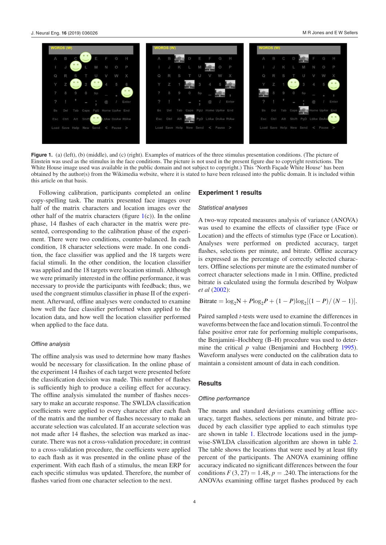M R Jones and E W Sellers

<span id="page-6-0"></span>

**Figure 1.** (a) (left), (b) (middle), and (c) (right). Examples of matrices of the three stimulus presentation conditions. (The picture of Einstein was used as the stimulus in the face conditions. The picture is not used in the present figure due to copyright restrictions. The White House image used was available in the public domain and not subject to copyright.) This 'North Façade White House' has been obtained by the author(s) from the Wikimedia website, where it is stated to have been released into the public domain. It is included within this article on that basis.

Following calibration, participants completed an online copy-spelling task. The matrix presented face images over half of the matrix characters and location images over the other half of the matrix characters (figure  $1(c)$  $1(c)$ ). In the online phase, 14 flashes of each character in the matrix were presented, corresponding to the calibration phase of the experiment. There were two conditions, counter-balanced. In each condition, 18 character selections were made. In one condition, the face classifier was applied and the 18 targets were facial stimuli. In the other condition, the location classifier was applied and the 18 targets were location stimuli. Although we were primarily interested in the offline performance, it was necessary to provide the participants with feedback; thus, we used the congruent stimulus classifier in phase II of the experiment. Afterward, offline analyses were conducted to examine how well the face classifier performed when applied to the location data, and how well the location classifier performed when applied to the face data.

#### *Offline analysis*

The offline analysis was used to determine how many flashes would be necessary for classification. In the online phase of the experiment 14 flashes of each target were presented before the classification decision was made. This number of flashes is sufficiently high to produce a ceiling effect for accuracy. The offline analysis simulated the number of flashes necessary to make an accurate response. The SWLDA classification coefficients were applied to every character after each flash of the matrix and the number of flashes necessary to make an accurate selection was calculated. If an accurate selection was not made after 14 flashes, the selection was marked as inaccurate. There was not a cross-validation procedure; in contrast to a cross-validation procedure, the coefficients were applied to each flash as it was presented in the online phase of the experiment. With each flash of a stimulus, the mean ERP for each specific stimulus was updated. Therefore, the number of flashes varied from one character selection to the next.

#### **Experiment 1 results**

#### *Statistical analyses*

A two-way repeated measures analysis of variance (ANOVA) was used to examine the effects of classifier type (Face or Location) and the effects of stimulus type (Face or Location). Analyses were performed on predicted accuracy, target flashes, selections per minute, and bitrate. Offline accuracy is expressed as the percentage of correctly selected characters. Offline selections per minute are the estimated number of correct character selections made in 1min. Offline, predicted bitrate is calculated using the formula described by Wolpaw *et al* [\(2002](#page-13-7)):

 $\text{Bitrate} = \log_2 N + P \log_2 P + (1 - P) \log_2 [(1 - P) / (N - 1)].$ 

Paired sampled *t*-tests were used to examine the differences in waveforms between the face and location stimuli. To control the false positive error rate for performing multiple comparisons, the Benjamini–Hochberg (B–H) procedure was used to determine the critical *p* value (Benjamini and Hochberg [1995](#page-12-20)). Waveform analyses were conducted on the calibration data to maintain a consistent amount of data in each condition.

#### **Results**

#### *Offline performance*

The means and standard deviations examining offline accuracy, target flashes, selections per minute, and bitrate produced by each classifier type applied to each stimulus type are shown in table [1.](#page-7-0) Electrode locations used in the jumpwise-SWLDA classification algorithm are shown in table [2.](#page-7-1) The table shows the locations that were used by at least fifty percent of the participants. The ANOVA examining offline accuracy indicated no significant differences between the four conditions  $F(3, 27) = 1.48$ ,  $p = .240$ . The interactions for the ANOVAs examining offline target flashes produced by each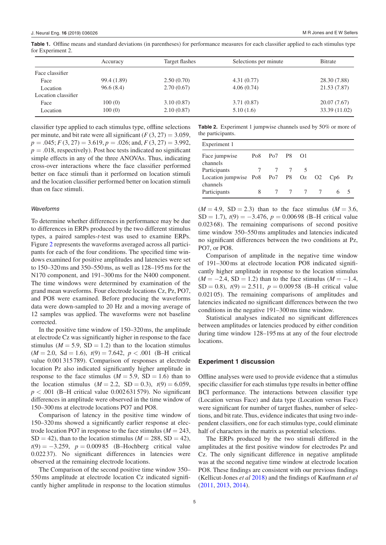|                     | Accuracy    | Target flashes | Selections per minute | <b>B</b> itrate |  |
|---------------------|-------------|----------------|-----------------------|-----------------|--|
| Face classifier     |             |                |                       |                 |  |
| Face                | 99.4 (1.89) | 2.50(0.70)     | 4.31(0.77)            | 28.30 (7.88)    |  |
| Location            | 96.6(8.4)   | 2.70(0.67)     | 4.06(0.74)            | 21.53 (7.87)    |  |
| Location classifier |             |                |                       |                 |  |
| Face                | 100(0)      | 3.10(0.87)     | 3.71(0.87)            | 20.07 (7.67)    |  |
| Location            | 100(0)      | 2.10(0.87)     | 5.10(1.6)             | 33.39 (11.02)   |  |

<span id="page-7-0"></span>**Table 1.** Offline means and standard deviations (in parentheses) for performance measures for each classifier applied to each stimulus type for Experiment 2.

classifier type applied to each stimulus type, offline selections per minute, and bit rate were all significant  $(F(3, 27) = 3.059$ ,  $p = .045$ ;  $F(3, 27) = 3.619$ ,  $p = .026$ ; and,  $F(3, 27) = 3.992$ ,  $p = .018$ , respectively). Post hoc tests indicated no significant simple effects in any of the three ANOVAs. Thus, indicating cross-over interactions where the face classifier performed better on face stimuli than it performed on location stimuli and the location classifier performed better on location stimuli than on face stimuli.

#### *Waveforms*

To determine whether differences in performance may be due to differences in ERPs produced by the two different stimulus types, a paired samples-*t*-test was used to examine ERPs. Figure [2](#page-8-0) represents the waveforms averaged across all participants for each of the four conditions. The specified time windows examined for positive amplitudes and latencies were set to 150–320ms and 350–550ms, as well as 128–195ms for the N170 component, and 191–300ms for the N400 component. The time windows were determined by examination of the grand mean waveforms. Four electrode locations Cz, Pz, PO7, and PO8 were examined. Before producing the waveforms data were down-sampled to 20 Hz and a moving average of 12 samples was applied. The waveforms were not baseline corrected.

In the positive time window of 150–320ms, the amplitude at electrode Cz was significantly higher in response to the face stimulus ( $M = 5.9$ , SD = 1.2) than to the location stimulus  $(M = 2.0, Sd = 1.6), t(9) = 7.642, p < .001$  (B-H critical value 0.001 315 789). Comparison of responses at electrode location Pz also indicated significantly higher amplitude in response to the face stimulus ( $M = 5.9$ , SD = 1.6) than to the location stimulus  $(M = 2.2, SD = 0.3), t(9) = 6.059,$  $p < .001$  (B–H critical value 0.002631 579). No significant differences in amplitude were observed in the time window of 150–300ms at electrode locations PO7 and PO8.

Comparison of latency in the positive time window of 150–320ms showed a significantly earlier response at electrode location PO7 in response to the face stimulus ( $M = 243$ ,  $SD = 42$ ), than to the location stimulus ( $M = 288$ ,  $SD = 42$ ), *t*(9) = −3.259, *p* = 0.00985 (B–Hochberg critical value 0.02237). No significant differences in latencies were observed at the remaining electrode locations.

The Comparison of the second positive time window 350– 550ms amplitude at electrode location Cz indicated significantly higher amplitude in response to the location stimulus <span id="page-7-1"></span>**Table 2.** Experiment 1 jumpwise channels used by 50% or more of the participants.

| Experiment 1                                       |   |                                                               |  |         |  |  |    |
|----------------------------------------------------|---|---------------------------------------------------------------|--|---------|--|--|----|
| Face jumpwise<br>channels                          |   | Po <sub>8</sub> Po <sub>7</sub> P <sub>8</sub> O <sub>1</sub> |  |         |  |  |    |
| Participants                                       |   |                                                               |  |         |  |  |    |
| Location jumpwise Po8 Po7 P8 Oz O2 Cp6<br>channels |   |                                                               |  |         |  |  | Pz |
| Participants                                       | 8 |                                                               |  | 7 7 7 7 |  |  |    |

 $(M = 4.9, SD = 2.3)$  than to the face stimulus  $(M = 3.6,$  $SD = 1.7$ ),  $t(9) = -3.476$ ,  $p = 0.00698$  (B–H critical value 0.02368). The remaining comparisons of second positive time window 350–550ms amplitudes and latencies indicated no significant differences between the two conditions at Pz, PO7, or PO8.

Comparison of amplitude in the negative time window of 191–300ms at electrode location PO8 indicated significantly higher amplitude in response to the location stimulus  $(M = -2.4, SD = 1.2)$  than to the face stimulus  $(M = -1.4,$  $SD = 0.8$ ),  $t(9) = 2.511$ ,  $p = 0.00958$  (B-H critical value 0.02105). The remaining comparisons of amplitudes and latencies indicated no significant differences between the two conditions in the negative 191–300ms time window.

Statistical analyses indicated no significant differences between amplitudes or latencies produced by either condition during time window 128–195ms at any of the four electrode locations.

#### **Experiment 1 discussion**

Offline analyses were used to provide evidence that a stimulus specific classifier for each stimulus type results in better offline BCI performance. The interactions between classifier type (Location versus Face) and data type (Location versus Face) were significant for number of target flashes, number of selections, and bit rate. Thus, evidence indicates that using two independent classifiers, one for each stimulus type, could eliminate half of characters in the matrix as potential selections.

The ERPs produced by the two stimuli differed in the amplitudes at the first positive window for electrodes Pz and Cz. The only significant difference in negative amplitude was at the second negative time window at electrode location PO8. These findings are consistent with our previous findings (Kellicut-Jones *et al* [2018\)](#page-12-6) and the findings of Kaufmann *et al* [\(2011](#page-12-2), [2013](#page-12-3), [2014](#page-12-4)).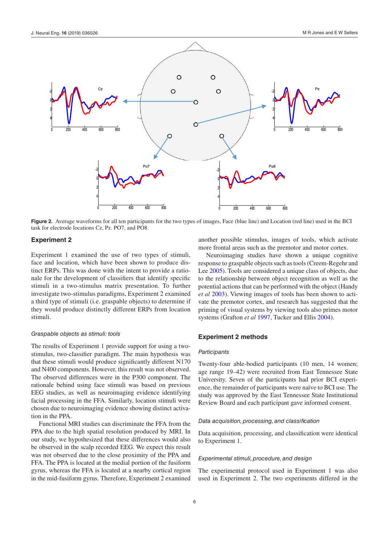<span id="page-8-0"></span>

**Figure 2.** Average waveforms for all ten participants for the two types of images, Face (blue line) and Location (red line) used in the BCI task for electrode locations Cz, Pz. PO7, and PO8.

#### **Experiment 2**

Experiment 1 examined the use of two types of stimuli, face and location, which have been shown to produce distinct ERPs. This was done with the intent to provide a rationale for the development of classifiers that identify specific stimuli in a two-stimulus matrix presentation. To further investigate two-stimulus paradigms, Experiment 2 examined a third type of stimuli (i.e. graspable objects) to determine if they would produce distinctly different ERPs from location stimuli.

#### *Graspable objects as stimuli: tools*

The results of Experiment 1 provide support for using a twostimulus, two-classifier paradigm. The main hypothesis was that these stimuli would produce significantly different N170 and N400 components. However, this result was not observed. The observed differences were in the P300 component. The rationale behind using face stimuli was based on previous EEG studies, as well as neuroimaging evidence identifying facial processing in the FFA. Similarly, location stimuli were chosen due to neuroimaging evidence showing distinct activation in the PPA.

Functional MRI studies can discriminate the FFA from the PPA due to the high spatial resolution produced by MRI. In our study, we hypothesized that these differences would also be observed in the scalp recorded EEG. We expect this result was not observed due to the close proximity of the PPA and FFA. The PPA is located at the medial portion of the fusiform gyrus, whereas the FFA is located at a nearby cortical region in the mid-fusiform gyrus. Therefore, Experiment 2 examined another possible stimulus, images of tools, which activate more frontal areas such as the premotor and motor cortex.

Neuroimaging studies have shown a unique cognitive response to graspable objects such as tools (Creem-Regehr and Lee [2005](#page-12-21)). Tools are considered a unique class of objects, due to the relationship between object recognition as well as the potential actions that can be performed with the object (Handy *et al* [2003\)](#page-12-22). Viewing images of tools has been shown to activate the premotor cortex, and research has suggested that the priming of visual systems by viewing tools also primes motor systems (Grafton *et al* [1997](#page-12-23), Tucker and Ellis [2004\)](#page-13-8).

#### **Experiment 2 methods**

#### *Participants*

Twenty-four able-bodied participants (10 men, 14 women; age range 19–42) were recruited from East Tennessee State University. Seven of the participants had prior BCI experience, the remainder of participants were naïve to BCI use. The study was approved by the East Tennessee State Institutional Review Board and each participant gave informed consent.

#### *Data acquisition, processing, and classification*

Data acquisition, processing, and classification were identical to Experiment 1.

#### *Experimental stimuli, procedure, and design*

The experimental protocol used in Experiment 1 was also used in Experiment 2. The two experiments differed in the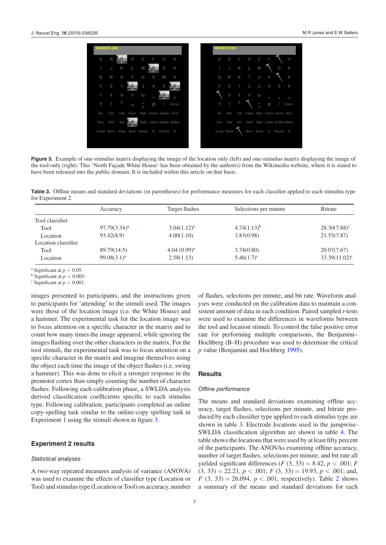<span id="page-9-0"></span>

**Figure 3.** Example of one-stimulus matrix displaying the image of the location only (left) and one-stimulus matrix displaying the image of the tool only (right). This 'North Façade White House' has been obtained by the author(s) from the Wikimedia website, where it is stated to have been released into the public domain. It is included within this article on that basis.

<span id="page-9-1"></span>**Table 3.** Offline means and standard deviations (in parentheses) for performance measures for each classifier applied to each stimulus type for Experiment 2.

|                     | Accuracy                | Target flashes          | Selections per minute | Bitrate          |
|---------------------|-------------------------|-------------------------|-----------------------|------------------|
| Tool classifier     |                         |                         |                       |                  |
| Tool                | $97.79(3.34)^a$         | 3.04(1.12) <sup>a</sup> | $4.74(1.13)^{b}$      | $28.30(7.88)^c$  |
| Location            | 93.42(8.9)              | 4.00(1.10)              | 3.83(0.98)            | 21.53(7.87)      |
| Location classifier |                         |                         |                       |                  |
| Tool                | 89.79(14.5)             | $4.04(0.99)^{a}$        | 3.74(0.80)            | 20.07(7.67)      |
| Location            | 99.08(3.1) <sup>a</sup> | 2.58(1.13)              | $5.46(1.7)^c$         | $33.39(11.02)^c$ |

<span id="page-9-2"></span><sup>a</sup> Significant at  $p < 0.05$ .<br>b Significant at  $p < 0.005$ 

<span id="page-9-3"></span> $<sup>b</sup>$  Significant at  $p < 0.005$ .</sup>

<span id="page-9-4"></span> $\textdegree$  Significant at  $p < 0.001$ .

images presented to participants, and the instructions given to participants for 'attending' to the stimuli used. The images were those of the location image (i.e. the White House) and a hammer. The experimental task for the location image was to focus attention on a specific character in the matrix and to count how many times the image appeared, while ignoring the images flashing over the other characters in the matrix. For the tool stimuli, the experimental task was to focus attention on a specific character in the matrix and imagine themselves using the object each time the image of the object flashes (i.e. swing a hammer). This was done to elicit a stronger response in the premotor cortex than simply counting the number of character flashes. Following each calibration phase, a SWLDA analysis derived classification coefficients specific to each stimulus type. Following calibration, participants completed an online copy-spelling task similar to the online-copy spelling task in Experiment 1 using the stimuli shown in figure [3](#page-9-0).

#### **Experiment 2 results**

#### *Statistical analyses*

A two-way repeated measures analysis of variance (ANOVA) was used to examine the effects of classifier type (Location or Tool) and stimulus type (Location or Tool) on accuracy, number of flashes, selections per minute, and bit rate. Waveform analyses were conducted on the calibration data to maintain a consistent amount of data in each condition. Paired sampled *t*-tests were used to examine the differences in waveforms between the tool and location stimuli. To control the false positive error rate for performing multiple comparisons, the Benjamini– Hochberg (B–H) procedure was used to determine the critical *p* value (Benjamini and Hochberg [1995](#page-12-20)).

#### **Results**

#### *Offline performance*

The means and standard deviations examining offline accuracy, target flashes, selections per minute, and bitrate produced by each classifier type applied to each stimulus type are shown in table [3](#page-9-1). Electrode locations used in the jumpwise-SWLDA classification algorithm are shown in table [4](#page-10-0). The table shows the locations that were used by at least fifty percent of the participants. The ANOVAs examining offline accuracy, number of target flashes, selections per minute, and bit rate all yielded significant differences  $(F(3, 33) = 8.42, p < .001; F$  $(3, 33) = 22.21, p < .001$ ;  $F (3, 33) = 19.93, p < .001$ ; and, *F* (3, 33) = [2](#page-7-1)6.094,  $p < .001$ , respectively). Table 2 shows a summary of the means and standard deviations for each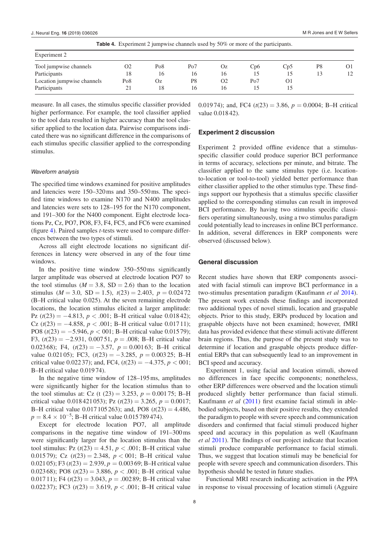| <b>Table 4.</b> Experiment 2 jumpwise channels used by 50% or more of the participants. |     |     |                 |                |     |     |    |    |
|-----------------------------------------------------------------------------------------|-----|-----|-----------------|----------------|-----|-----|----|----|
| Experiment 2                                                                            |     |     |                 |                |     |     |    |    |
| Tool jumpwise channels                                                                  | Ο2  | Po8 | Po <sub>7</sub> | Oz             | Cp6 | Cp5 | P8 | O1 |
| Participants                                                                            | 18  | 16  | 16              | 16             |     | 15  | 13 | 12 |
| Location jumpwise channels                                                              | Po8 | Oz  | P8              | O <sub>2</sub> | Po7 | O1  |    |    |
| Participants                                                                            |     | 18  | 16              | 16             |     |     |    |    |

measure. In all cases, the stimulus specific classifier provided higher performance. For example, the tool classifier applied to the tool data resulted in higher accuracy than the tool classifier applied to the location data. Pairwise comparisons indicated there was no significant difference in the comparisons of each stimulus specific classifier applied to the corresponding stimulus.

#### *Waveform analysis*

The specified time windows examined for positive amplitudes and latencies were 150–320ms and 350–550ms. The specified time windows to examine N170 and N400 amplitudes and latencies were sets to 128–195 for the N170 component, and 191–300 for the N400 component. Eight electrode locations Pz, Cz, PO7, PO8, F3, F4, FC5, and FC6 were examined (figure [4](#page-11-0)). Paired samples *t*-tests were used to compare differences between the two types of stimuli.

Across all eight electrode locations no significant differences in latency were observed in any of the four time windows.

In the positive time window 350–550ms significantly larger amplitude was observed at electrode location PO7 to the tool stimulus ( $M = 3.8$ , SD = 2.6) than to the location stimulus ( $M = 3.0$ , SD = 1.5),  $t(23) = 2.403$ ,  $p = 0.02472$ (B–H critical value 0.025). At the seven remaining electrode locations, the location stimulus elicited a larger amplitude: Pz (*t*(23) = −4.813, *p* < .001; B–H critical value 0.018 42); Cz  $(t(23) = -4.858, p < .001;$  B–H critical value 0.01711); PO8 (*t*(23) = −5.946, *p* < 001; B–H critical value 0.015 79); F3, (*t*(23) = −2.931, 0.007 51, *p* = .008; B–H critical value 0.02368); F4, (*t*(23) = −3.57, *p* = 0.001 63; B–H critical value 0.02105); FC3,  $(t(23) = -3.285, p = 0.00325; B-H$ critical value 0.022 37); and, FC4,  $(t(23) = -4.375, p < 001;$ B–H critical value 0.019 74).

In the negative time window of 128–195ms, amplitudes were significantly higher for the location stimulus than to the tool stimulus at: Cz (t  $(23) = 3.253$ ,  $p = 0.00175$ ; B-H critical value 0.018421 053); Pz  $(t(23) = 3.265, p = 0.0017;$ B–H critical value 0.017 105263); and, PO8 (*t*(23) = 4.486,  $p = 8.4 \times 10^{-5}$ ; B–H critical value 0.015 789 474).

Except for electrode location PO7, all amplitude comparisons in the negative time window of 191–300ms were significantly larger for the location stimulus than the tool stimulus: Pz  $(t(23) = 4.51, p < .001$ ; B-H critical value 0.015 79); Cz (*t*(23) = 2.348, *p* < 001; B–H critical value 0.021 05); F3 ( $t(23) = 2.939$ ,  $p = 0.00369$ ; B-H critical value 0.023 68); PO8  $(t(23) = 3.886, p < .001$ ; B-H critical value 0.017 11); F4  $(t(23) = 3.043, p = .00289; B-H$  critical value 0.02237); FC3  $(t(23) = 3.619, p < .001$ ; B-H critical value <span id="page-10-0"></span>0.01974); and, FC4  $(t(23) = 3.86, p = 0.0004$ ; B-H critical value 0.01842).

#### **Experiment 2 discussion**

Experiment 2 provided offline evidence that a stimulusspecific classifier could produce superior BCI performance in terms of accuracy, selections per minute, and bitrate. The classifier applied to the same stimulus type (i.e. locationto-location or tool-to-tool) yielded better performance than either classifier applied to the other stimulus type. These findings support our hypothesis that a stimulus specific classifier applied to the corresponding stimulus can result in improved BCI performance. By having two stimulus specific classifiers operating simultaneously, using a two stimulus paradigm could potentially lead to increases in online BCI performance. In addition, several differences in ERP components were observed (discussed below).

#### **General discussion**

Recent studies have shown that ERP components associated with facial stimuli can improve BCI performance in a two-stimulus presentation paradigm (Kaufmann *et al* [2014](#page-12-4)). The present work extends these findings and incorporated two additional types of novel stimuli, location and graspable objects. Prior to this study, ERPs produced by location and graspable objects have not been examined; however, fMRI data has provided evidence that these stimuli activate different brain regions. Thus, the purpose of the present study was to determine if location and graspable objects produce differential ERPs that can subsequently lead to an improvement in BCI speed and accuracy.

Experiment 1, using facial and location stimuli, showed no differences in face specific components; nonetheless, other ERP differences were observed and the location stimuli produced slightly better performance than facial stimuli. Kaufmann *et al* [\(2011](#page-12-2)) first examine facial stimuli in ablebodied subjects, based on their positive results, they extended the paradigm to people with severe speech and communication disorders and confirmed that facial stimuli produced higher speed and accuracy in this population as well (Kaufmann *et al* [2011\)](#page-12-2). The findings of our project indicate that location stimuli produce comparable performance to facial stimuli. Thus, we suggest that location stimuli may be beneficial for people with severe speech and communication disorders. This hypothesis should be tested in future studies.

Functional MRI research indicating activation in the PPA in response to visual processing of location stimuli (Agguire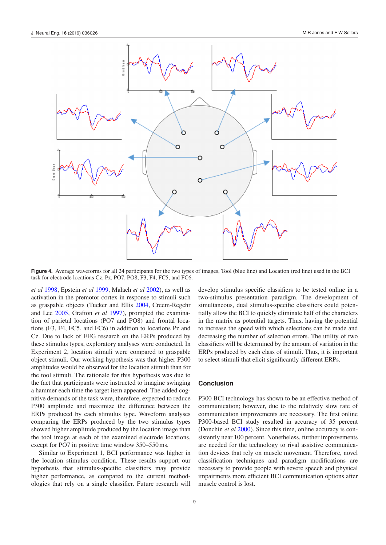<span id="page-11-0"></span>

**Figure 4.** Average waveforms for all 24 participants for the two types of images, Tool (blue line) and Location (red line) used in the BCI task for electrode locations Cz, Pz, PO7, PO8, F3, F4, FC5, and FC6.

*et al* [1998,](#page-12-11) Epstein *et al* [1999](#page-12-12), Malach *et al* [2002\)](#page-12-13), as well as activation in the premotor cortex in response to stimuli such as graspable objects (Tucker and Ellis [2004](#page-13-8), Creem-Regehr and Lee [2005](#page-12-21), Grafton *et al* [1997](#page-12-23)), prompted the examination of parietal locations (PO7 and PO8) and frontal locations (F3, F4, FC5, and FC6) in addition to locations Pz and Cz. Due to lack of EEG research on the ERPs produced by these stimulus types, exploratory analyses were conducted. In Experiment 2, location stimuli were compared to graspable object stimuli. Our working hypothesis was that higher P300 amplitudes would be observed for the location stimuli than for the tool stimuli. The rationale for this hypothesis was due to the fact that participants were instructed to imagine swinging a hammer each time the target item appeared. The added cognitive demands of the task were, therefore, expected to reduce P300 amplitude and maximize the difference between the ERPs produced by each stimulus type. Waveform analyses comparing the ERPs produced by the two stimulus types showed higher amplitude produced by the location image than the tool image at each of the examined electrode locations, except for PO7 in positive time window 350–550ms.

Similar to Experiment 1, BCI performance was higher in the location stimulus condition. These results support our hypothesis that stimulus-specific classifiers may provide higher performance, as compared to the current methodologies that rely on a single classifier. Future research will develop stimulus specific classifiers to be tested online in a two-stimulus presentation paradigm. The development of simultaneous, dual stimulus-specific classifiers could potentially allow the BCI to quickly eliminate half of the characters in the matrix as potential targets. Thus, having the potential to increase the speed with which selections can be made and decreasing the number of selection errors. The utility of two classifiers will be determined by the amount of variation in the ERPs produced by each class of stimuli. Thus, it is important to select stimuli that elicit significantly different ERPs.

#### **Conclusion**

P300 BCI technology has shown to be an effective method of communication; however, due to the relatively slow rate of communication improvements are necessary. The first online P300-based BCI study resulted in accuracy of 35 percent (Donchin *et al* [2000](#page-12-24)). Since this time, online accuracy is consistently near 100 percent. Nonetheless, further improvements are needed for the technology to rival assistive communication devices that rely on muscle movement. Therefore, novel classification techniques and paradigm modifications are necessary to provide people with severe speech and physical impairments more efficient BCI communication options after muscle control is lost.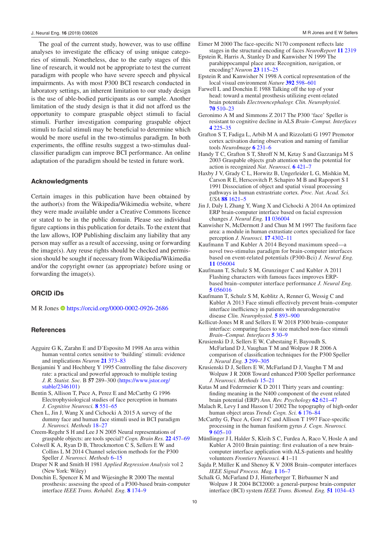The goal of the current study, however, was to use offline analyses to investigate the efficacy of using unique categories of stimuli. Nonetheless, due to the early stages of this line of research, it would not be appropriate to test the current paradigm with people who have severe speech and physical impairments. As with most P300 BCI research conducted in laboratory settings, an inherent limitation to our study design is the use of able-bodied participants as our sample. Another limitation of the study design is that it did not afford us the opportunity to compare graspable object stimuli to facial stimuli. Further investigation comparing graspable object stimuli to facial stimuli may be beneficial to determine which would be more useful in the two-stimulus paradigm. In both experiments, the offline results suggest a two-stimulus dualclassifier paradigm can improve BCI performance. An online adaptation of the paradigm should be tested in future work.

#### **Acknowledgments**

Certain images in this publication have been obtained by the author(s) from the Wikipedia/Wikimedia website, where they were made available under a Creative Commons licence or stated to be in the public domain. Please see individual figure captions in this publication for details. To the extent that the law allows, IOP Publishing disclaim any liability that any person may suffer as a result of accessing, using or forwarding the image(s). Any reuse rights should be checked and permission should be sought if necessary from Wikipedia/Wikimedia and/or the copyright owner (as appropriate) before using or forwarding the image(s).

## **ORCID iDs**

M R Jones<https://orcid.org/0000-0002-0926-2686>

#### **References**

- <span id="page-12-11"></span>Agguire G K, Zarahn E and D'Esposito M 1998 An area within human ventral cortex sensitive to 'building' stimuli: evidence and implications *Neuron* **[21](https://doi.org/10.1016/S0896-6273(00)80546-2)** [373](https://doi.org/10.1016/S0896-6273(00)80546-2)–[83](https://doi.org/10.1016/S0896-6273(00)80546-2)
- <span id="page-12-20"></span>Benjamini  $\hat{Y}$  and Hochberg Y 1995 Controlling the false discovery rate: a practical and powerful approach to multiple testing *J. R. Statist. Soc.* B **57** 289–300 [\(https://www.jstor.org/](https://www.jstor.org/stable/2346101) [stable/2346101](https://www.jstor.org/stable/2346101))

Bentin S, Allison T, Puce A, Perez E and McCarthy G 1996 Electrophysiological studies of face perception in humans *J. Cognitive Neurosci.* **[8](https://doi.org/10.1162/jocn.1996.8.6.551)** [551](https://doi.org/10.1162/jocn.1996.8.6.551)–[65](https://doi.org/10.1162/jocn.1996.8.6.551)

- <span id="page-12-8"></span>Chen L, Jin J, Wang X and Cichocki A 2015 A survey of the dummy face and human face stimuli used in BCI paradigm *J. Neurosci. Methods* [18](https://doi.org/10.1016/j.jneumeth.2014.10.002)–[27](https://doi.org/10.1016/j.jneumeth.2014.10.002)
- <span id="page-12-21"></span>Creem-Regehr S H and Lee J N 2005 Neural representations of graspable objects: are tools special? *Cogn. Brain Res.* **[22](https://doi.org/10.1016/j.cogbrainres.2004.10.006)** [457](https://doi.org/10.1016/j.cogbrainres.2004.10.006)–[69](https://doi.org/10.1016/j.cogbrainres.2004.10.006)
- <span id="page-12-15"></span>Colwell K A, Ryan D B, Throckmorton C S, Sellers E W and Collins L M 2014 Channel selection methods for the P300 Speller *J. Neurosci. Methods* [6](https://doi.org/10.1016/j.jneumeth.2014.04.009)–[15](https://doi.org/10.1016/j.jneumeth.2014.04.009)
- <span id="page-12-16"></span>Draper N R and Smith H 1981 *Applied Regression Analysis* vol 2 (New York: Wiley)
- Donchin E, Spencer K M and Wijesinghe R 2000 The mental prosthesis: assessing the speed of a P300-based brain-computer interface *IEEE Trans. Rehabil. Eng.* **[8](https://doi.org/10.1109/86.847808)** [174](https://doi.org/10.1109/86.847808)–[9](https://doi.org/10.1109/86.847808)
- <span id="page-12-24"></span>Eimer M 2000 The face-specific N170 component reflects late stages in the structural encoding of faces *NeuroReport* **[11](https://doi.org/10.1097/00001756-200007140-00050)** [2319](https://doi.org/10.1097/00001756-200007140-00050)
- <span id="page-12-12"></span>Epstein R, Harris A, Stanley D and Kanwisher N 1999 The parahippocampal place area: Recognition, navigation, or encoding? *Neuron* **[23](https://doi.org/10.1016/S0896-6273(00)80758-8)** [115](https://doi.org/10.1016/S0896-6273(00)80758-8)–[25](https://doi.org/10.1016/S0896-6273(00)80758-8)
- <span id="page-12-14"></span>Epstein R and Kanwisher N 1998 A cortical representation of the local visual environment *Nature* **[392](https://doi.org/10.1038/33402)** [598](https://doi.org/10.1038/33402)–[601](https://doi.org/10.1038/33402)
- <span id="page-12-17"></span>Farwell L and Donchin E 1988 Talking off the top of your head: toward a mental prosthesis utilizing event-related brain potentials *Electroencephalogr. Clin. Neurophysiol.* **[70](https://doi.org/10.1016/0013-4694(88)90149-6)** [510](https://doi.org/10.1016/0013-4694(88)90149-6)–[23](https://doi.org/10.1016/0013-4694(88)90149-6)
- <span id="page-12-5"></span>Geronimo A M and Simmons Z 2017 The P300 'face' Speller is resistant to cognitive decline in ALS *Brain–Comput. Interfaces* **[4](https://doi.org/10.1080/2326263X.2017.1338013)** [225](https://doi.org/10.1080/2326263X.2017.1338013)–[35](https://doi.org/10.1080/2326263X.2017.1338013)
- <span id="page-12-23"></span>Grafton S T, Fadiga L, Arbib M A and Rizzolatti G 1997 Premotor cortex activation during observation and naming of familiar tools *NeuroImage* **[6](https://doi.org/10.1006/nimg.1997.0293)** [231](https://doi.org/10.1006/nimg.1997.0293)–[6](https://doi.org/10.1006/nimg.1997.0293)
- <span id="page-12-22"></span>Handy T C, Grafton S T, Shroff N M, Ketay S and Gazzaniga M S 2003 Graspable objects grab attention when the potential for action is recognized *Nat. Neurosci.* **[6](https://doi.org/10.1038/nn1031)** [421](https://doi.org/10.1038/nn1031)–[7](https://doi.org/10.1038/nn1031)
- Haxby J V, Grady C L, Horwitz B, Ungerleider L G, Mishkin M, Carson R E, Herscovitch P, Schapiro M B and Rapoport S I 1991 Dissociation of object and spatial visual processing pathways in human extrastriate cortex. *Proc. Nat. Acad. Sci. USA* **[88](https://doi.org/10.1073/pnas.88.5.1621)** [1621](https://doi.org/10.1073/pnas.88.5.1621)–[5](https://doi.org/10.1073/pnas.88.5.1621)
- <span id="page-12-7"></span>Jin J, Daly I, Zhang Y, Wang X and Cichocki A 2014 An optimized ERP brain-computer interface based on facial expression changes *J. Neural Eng.* **[11](https://doi.org/10.1088/1741-2560/11/3/036004)** [036004](https://doi.org/10.1088/1741-2560/11/3/036004)
- <span id="page-12-9"></span>Kanwisher N, McDermott J and Chun M M 1997 The fusiform face area: a module in human extrastiate cortex specialized for face perception *J. Neurosci.* **[17](https://doi.org/10.1523/JNEUROSCI.17-11-04302.1997)** [4302](https://doi.org/10.1523/JNEUROSCI.17-11-04302.1997)–[11](https://doi.org/10.1523/JNEUROSCI.17-11-04302.1997)
- <span id="page-12-4"></span>Kaufmann T and Kubler A 2014 Beyond maximum speed—a novel two-stimulus paradigm for brain-computer interfaces based on event-related potentials (P300-Bci) *J. Neural Eng.* **[11](https://doi.org/10.1088/1741-2560/11/5/056004)** [056004](https://doi.org/10.1088/1741-2560/11/5/056004)
- <span id="page-12-2"></span>Kaufmann T, Schulz S M, Grunzinger C and Kubler A 2011 Flashing characters with famous faces improves ERPbased brain–computer interface performance *J. Neural Eng.* **[5](https://doi.org/10.1088/1741-2560/8/5/056016)** [056016](https://doi.org/10.1088/1741-2560/8/5/056016)
- <span id="page-12-3"></span>Kaufmann T, Schulz S M, Koblitz A, Renner G, Wessig C and Kubler A 2013 Face stimuli effectively prevent brain–computer interface inefficiency in patients with neurodegenerative disease *Clin. Neurophysiol.* **[5](https://doi.org/10.1016/j.clinph.2012.11.006)** [893](https://doi.org/10.1016/j.clinph.2012.11.006)–[900](https://doi.org/10.1016/j.clinph.2012.11.006)
- <span id="page-12-6"></span>Kellicut-Jones M R and Sellers E W 2018 P300 brain–computer interface: comparing faces to size matched non-face stimuli *Brain–Comput. Interfaces* **[5](https://doi.org/10.1080/2326263X.2018.1433776)** [30](https://doi.org/10.1080/2326263X.2018.1433776)–[9](https://doi.org/10.1080/2326263X.2018.1433776)
- <span id="page-12-18"></span>Krusienski D J, Sellers E W, Cabestaing F, Bayoudh S, McFarland D J, Vaughan T M and Wolpaw J R 2006 A comparison of classification techniques for the P300 Speller *J. Neural Eng.* **[3](https://doi.org/10.1088/1741-2560/3/4/007)** [299](https://doi.org/10.1088/1741-2560/3/4/007)–[305](https://doi.org/10.1088/1741-2560/3/4/007)
- <span id="page-12-19"></span>Krusienski D J, Sellers E W, McFarland D J, Vaughn T M and Wolpaw J R 2008 Toward enhanced P300 Speller performance *J. Neurosci. Methods* [15](https://doi.org/10.1016/j.jneumeth.2007.07.017)–[21](https://doi.org/10.1016/j.jneumeth.2007.07.017)
- <span id="page-12-13"></span>Kutas M and Federmeier K D 2011 Thirty years and counting: finding meaning in the N400 component of the event related brain potential (ERP) *Ann. Rev. Psychology* **[62](https://doi.org/10.1146/annurev.psych.093008.131123)** [621](https://doi.org/10.1146/annurev.psych.093008.131123)–[47](https://doi.org/10.1146/annurev.psych.093008.131123)
- Malach R, Levy I and Hasson U 2002 The topography of high-order human object areas *Trends Cogn. Sci.* **[6](https://doi.org/10.1016/S1364-6613(02)01870-3)** [176](https://doi.org/10.1016/S1364-6613(02)01870-3)–[84](https://doi.org/10.1016/S1364-6613(02)01870-3)
- <span id="page-12-10"></span>McCarthy G, Puce A, Gore J C and Allison T 1997 Face-specific processing in the human fusiform gyrus *J. Cogn. Neurosci.* **[9](https://doi.org/10.1162/jocn.1997.9.5.605)** [605](https://doi.org/10.1162/jocn.1997.9.5.605)–[10](https://doi.org/10.1162/jocn.1997.9.5.605)
- Münßinger J I, Halder S, Kleih S C, Furdea A, Raco V, Hosle A and Kubler A 2010 Brain painting: first evaluation of a new braincomputer interface application with ALS-patients and healthy volunteers *Frontiers Neurosci.* **4** 1–11
- <span id="page-12-0"></span>Sajda P, Müller K and Shenoy K V 2008 Brain–computer interfaces *IEEE Signal Process. Mag.* **[1](https://doi.org/10.1109/MSP.2008.4408438)** [16](https://doi.org/10.1109/MSP.2008.4408438)–[7](https://doi.org/10.1109/MSP.2008.4408438)
- <span id="page-12-1"></span>Schalk G, McFarland D J, Hinterberger T, Birbaumer N and Wolpaw J R 2004 BCI2000: a general-purpose brain-computer interface (BCI) system *IEEE Trans. Biomed. Eng.* **[51](https://doi.org/10.1109/TBME.2004.827072)** [1034](https://doi.org/10.1109/TBME.2004.827072)–[43](https://doi.org/10.1109/TBME.2004.827072)